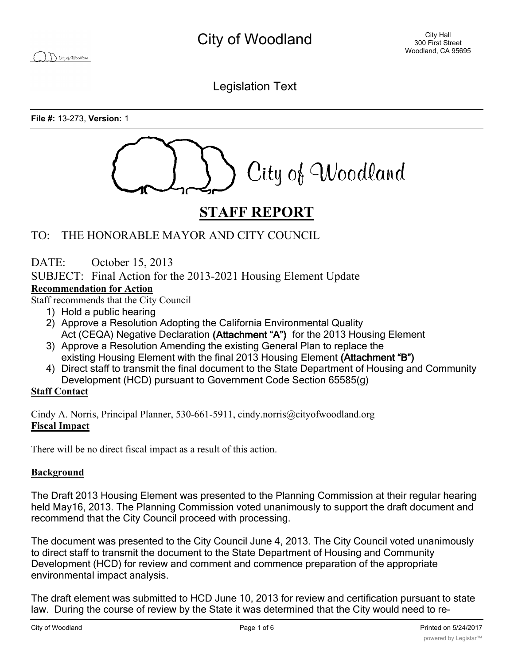City of Woodland

Legislation Text

**File #:** 13-273, **Version:** 1



# **STAFF REPORT**

# TO: THE HONORABLE MAYOR AND CITY COUNCIL

DATE: October 15, 2013

SUBJECT: Final Action for the 2013-2021 Housing Element Update

### **Recommendation for Action**

Staff recommends that the City Council

- 1) Hold a public hearing
- 2) Approve a Resolution Adopting the California Environmental Quality Act (CEQA) Negative Declaration **(Attachment "A")** for the 2013 Housing Element
- 3) Approve a Resolution Amending the existing General Plan to replace the existing Housing Element with the final 2013 Housing Element **(Attachment "B")**
- 4) Direct staff to transmit the final document to the State Department of Housing and Community Development (HCD) pursuant to Government Code Section 65585(g)

### **Staff Contact**

Cindy A. Norris, Principal Planner, 530-661-5911, cindy.norris@cityofwoodland.org **Fiscal Impact**

There will be no direct fiscal impact as a result of this action.

### **Background**

The Draft 2013 Housing Element was presented to the Planning Commission at their regular hearing held May16, 2013. The Planning Commission voted unanimously to support the draft document and recommend that the City Council proceed with processing.

The document was presented to the City Council June 4, 2013. The City Council voted unanimously to direct staff to transmit the document to the State Department of Housing and Community Development (HCD) for review and comment and commence preparation of the appropriate environmental impact analysis.

The draft element was submitted to HCD June 10, 2013 for review and certification pursuant to state law. During the course of review by the State it was determined that the City would need to re-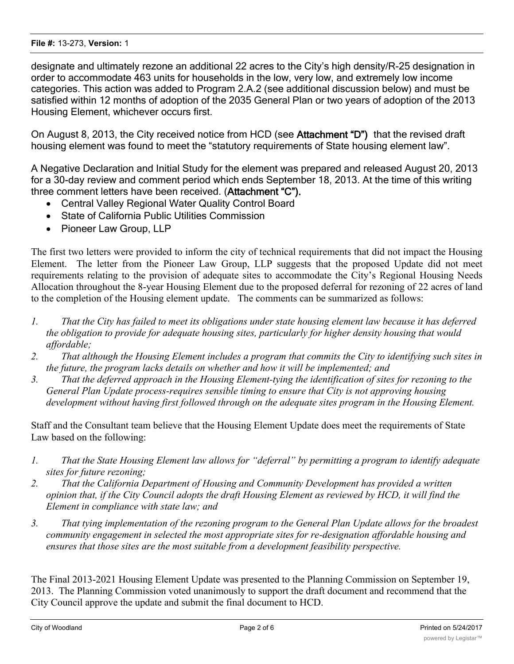#### **File #:** 13-273, **Version:** 1

designate and ultimately rezone an additional 22 acres to the City's high density/R-25 designation in order to accommodate 463 units for households in the low, very low, and extremely low income categories. This action was added to Program 2.A.2 (see additional discussion below) and must be satisfied within 12 months of adoption of the 2035 General Plan or two years of adoption of the 2013 Housing Element, whichever occurs first.

On August 8, 2013, the City received notice from HCD (see **Attachment "D")** that the revised draft housing element was found to meet the "statutory requirements of State housing element law".

A Negative Declaration and Initial Study for the element was prepared and released August 20, 2013 for a 30-day review and comment period which ends September 18, 2013. At the time of this writing three comment letters have been received. (**Attachment "C").**

- · Central Valley Regional Water Quality Control Board
- · State of California Public Utilities Commission
- Pioneer Law Group, LLP

The first two letters were provided to inform the city of technical requirements that did not impact the Housing Element. The letter from the Pioneer Law Group, LLP suggests that the proposed Update did not meet requirements relating to the provision of adequate sites to accommodate the City's Regional Housing Needs Allocation throughout the 8-year Housing Element due to the proposed deferral for rezoning of 22 acres of land to the completion of the Housing element update. The comments can be summarized as follows:

- *1. That the City has failed to meet its obligations under state housing element law because it has deferred the obligation to provide for adequate housing sites, particularly for higher density housing that would affordable;*
- *2. That although the Housing Element includes a program that commits the City to identifying such sites in the future, the program lacks details on whether and how it will be implemented; and*
- *3. That the deferred approach in the Housing Element-tying the identification of sites for rezoning to the General Plan Update process-requires sensible timing to ensure that City is not approving housing development without having first followed through on the adequate sites program in the Housing Element.*

Staff and the Consultant team believe that the Housing Element Update does meet the requirements of State Law based on the following:

- *1. That the State Housing Element law allows for "deferral" by permitting a program to identify adequate sites for future rezoning;*
- *2. That the California Department of Housing and Community Development has provided a written opinion that, if the City Council adopts the draft Housing Element as reviewed by HCD, it will find the Element in compliance with state law; and*
- *3. That tying implementation of the rezoning program to the General Plan Update allows for the broadest community engagement in selected the most appropriate sites for re-designation affordable housing and ensures that those sites are the most suitable from a development feasibility perspective.*

The Final 2013-2021 Housing Element Update was presented to the Planning Commission on September 19, 2013. The Planning Commission voted unanimously to support the draft document and recommend that the City Council approve the update and submit the final document to HCD.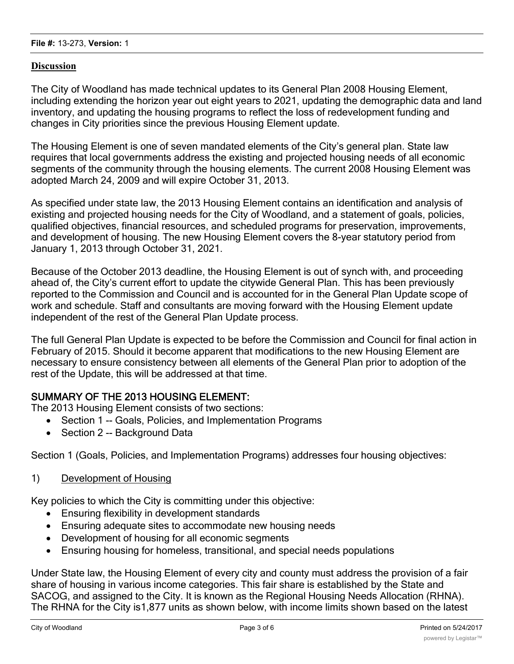### **Discussion**

The City of Woodland has made technical updates to its General Plan 2008 Housing Element, including extending the horizon year out eight years to 2021, updating the demographic data and land inventory, and updating the housing programs to reflect the loss of redevelopment funding and changes in City priorities since the previous Housing Element update.

The Housing Element is one of seven mandated elements of the City's general plan. State law requires that local governments address the existing and projected housing needs of all economic segments of the community through the housing elements. The current 2008 Housing Element was adopted March 24, 2009 and will expire October 31, 2013.

As specified under state law, the 2013 Housing Element contains an identification and analysis of existing and projected housing needs for the City of Woodland, and a statement of goals, policies, qualified objectives, financial resources, and scheduled programs for preservation, improvements, and development of housing. The new Housing Element covers the 8-year statutory period from January 1, 2013 through October 31, 2021.

Because of the October 2013 deadline, the Housing Element is out of synch with, and proceeding ahead of, the City's current effort to update the citywide General Plan. This has been previously reported to the Commission and Council and is accounted for in the General Plan Update scope of work and schedule. Staff and consultants are moving forward with the Housing Element update independent of the rest of the General Plan Update process.

The full General Plan Update is expected to be before the Commission and Council for final action in February of 2015. Should it become apparent that modifications to the new Housing Element are necessary to ensure consistency between all elements of the General Plan prior to adoption of the rest of the Update, this will be addressed at that time.

## **SUMMARY OF THE 2013 HOUSING ELEMENT:**

The 2013 Housing Element consists of two sections:

- · Section 1 -- Goals, Policies, and Implementation Programs
- Section 2 -- Background Data

Section 1 (Goals, Policies, and Implementation Programs) addresses four housing objectives:

1) Development of Housing

Key policies to which the City is committing under this objective:

- · Ensuring flexibility in development standards
- · Ensuring adequate sites to accommodate new housing needs
- · Development of housing for all economic segments
- · Ensuring housing for homeless, transitional, and special needs populations

Under State law, the Housing Element of every city and county must address the provision of a fair share of housing in various income categories. This fair share is established by the State and SACOG, and assigned to the City. It is known as the Regional Housing Needs Allocation (RHNA). The RHNA for the City is1,877 units as shown below, with income limits shown based on the latest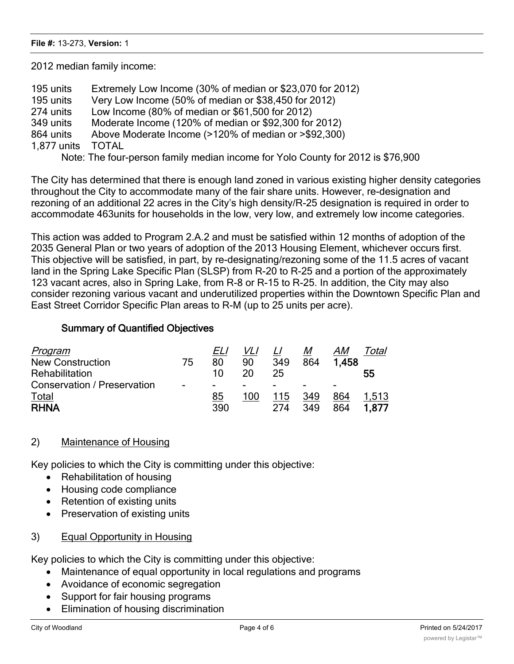2012 median family income:

- 195 units Extremely Low Income (30% of median or \$23,070 for 2012)
- 195 units Very Low Income (50% of median or \$38,450 for 2012)
- 274 units Low Income (80% of median or \$61,500 for 2012)
- 349 units Moderate Income (120% of median or \$92,300 for 2012)
- 864 units Above Moderate Income (>120% of median or >\$92,300)
- 1,877 units TOTAL

Note: The four-person family median income for Yolo County for 2012 is \$76,900

The City has determined that there is enough land zoned in various existing higher density categories throughout the City to accommodate many of the fair share units. However, re-designation and rezoning of an additional 22 acres in the City's high density/R-25 designation is required in order to accommodate 463units for households in the low, very low, and extremely low income categories.

This action was added to Program 2.A.2 and must be satisfied within 12 months of adoption of the 2035 General Plan or two years of adoption of the 2013 Housing Element, whichever occurs first. This objective will be satisfied, in part, by re-designating/rezoning some of the 11.5 acres of vacant land in the Spring Lake Specific Plan (SLSP) from R-20 to R-25 and a portion of the approximately 123 vacant acres, also in Spring Lake, from R-8 or R-15 to R-25. In addition, the City may also consider rezoning various vacant and underutilized properties within the Downtown Specific Plan and East Street Corridor Specific Plan areas to R-M (up to 25 units per acre).

### **Summary of Quantified Objectives**

| Program                     |                          | ELI |     |     | M   | AM    | otal  |
|-----------------------------|--------------------------|-----|-----|-----|-----|-------|-------|
| <b>New Construction</b>     | 75                       | 80  | 90  | 349 | 864 | 1.458 |       |
| Rehabilitation              |                          | 10  | 20  | 25  |     |       | 55    |
| Conservation / Preservation | $\overline{\phantom{0}}$ | -   | -   | -   |     | -     |       |
| Total                       |                          | 85  | 100 | 115 | 349 | 864   | 1.513 |
| <b>RHNA</b>                 |                          | 390 |     | 274 | 349 | 864   | 1.877 |

### 2) Maintenance of Housing

Key policies to which the City is committing under this objective:

- · Rehabilitation of housing
- · Housing code compliance
- Retention of existing units
- · Preservation of existing units

### 3) Equal Opportunity in Housing

Key policies to which the City is committing under this objective:

- · Maintenance of equal opportunity in local regulations and programs
- Avoidance of economic segregation
- Support for fair housing programs
- · Elimination of housing discrimination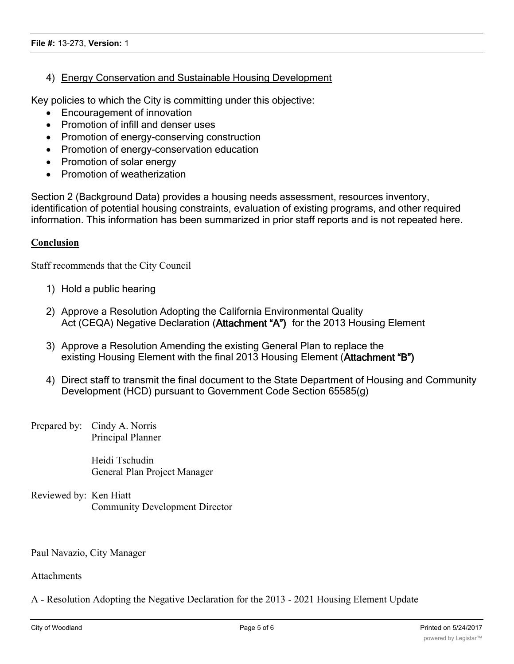### 4) Energy Conservation and Sustainable Housing Development

Key policies to which the City is committing under this objective:

- Encouragement of innovation
- · Promotion of infill and denser uses
- Promotion of energy-conserving construction
- · Promotion of energy-conservation education
- · Promotion of solar energy
- · Promotion of weatherization

Section 2 (Background Data) provides a housing needs assessment, resources inventory, identification of potential housing constraints, evaluation of existing programs, and other required information. This information has been summarized in prior staff reports and is not repeated here.

#### **Conclusion**

Staff recommends that the City Council

- 1) Hold a public hearing
- 2) Approve a Resolution Adopting the California Environmental Quality Act (CEQA) Negative Declaration (**Attachment "A")** for the 2013 Housing Element
- 3) Approve a Resolution Amending the existing General Plan to replace the existing Housing Element with the final 2013 Housing Element (**Attachment "B")**
- 4) Direct staff to transmit the final document to the State Department of Housing and Community Development (HCD) pursuant to Government Code Section 65585(g)
- Prepared by: Cindy A. Norris Principal Planner

Heidi Tschudin General Plan Project Manager

Reviewed by: Ken Hiatt Community Development Director

Paul Navazio, City Manager

Attachments

A - Resolution Adopting the Negative Declaration for the 2013 - 2021 Housing Element Update